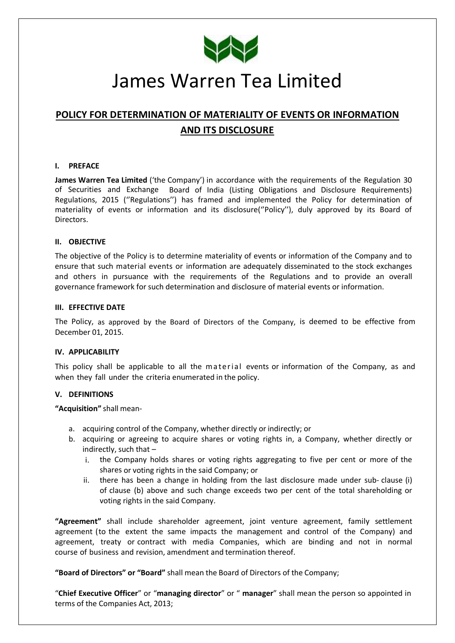

# James Warren Tea Limited

# **POLICY FOR DETERMINATION OF MATERIALITY OF EVENTS OR INFORMATION AND ITS DISCLOSURE**

#### **I. PREFACE**

**James Warren Tea Limited** ('the Company') in accordance with the requirements of the Regulation 30 of Securities and Exchange Board of India (Listing Obligations and Disclosure Requirements) Regulations, 2015 (''Regulations'') has framed and implemented the Policy for determination of materiality of events or information and its disclosure(''Policy''), duly approved by its Board of Directors.

#### **II. OBJECTIVE**

The objective of the Policy is to determine materiality of events or information of the Company and to ensure that such material events or information are adequately disseminated to the stock exchanges and others in pursuance with the requirements of the Regulations and to provide an overall governance framework for such determination and disclosure of material events or information.

#### **III. EFFECTIVE DATE**

The Policy, as approved by the Board of Directors of the Company, is deemed to be effective from December 01, 2015.

#### **IV. APPLICABILITY**

This policy shall be applicable to all the material events or information of the Company, as and when they fall under the criteria enumerated in the policy.

# **V. DEFINITIONS**

**"Acquisition"** shall mean‐

- a. acquiring control of the Company, whether directly or indirectly; or
- b. acquiring or agreeing to acquire shares or voting rights in, a Company, whether directly or indirectly, such that –
	- i. the Company holds shares or voting rights aggregating to five per cent or more of the shares or voting rights in the said Company; or
	- ii. there has been a change in holding from the last disclosure made under sub-clause (i) of clause (b) above and such change exceeds two per cent of the total shareholding or voting rights in the said Company.

**"Agreement"** shall include shareholder agreement, joint venture agreement, family settlement agreement (to the extent the same impacts the management and control of the Company) and agreement, treaty or contract with media Companies, which are binding and not in normal course of business and revision, amendment and termination thereof.

**"Board of Directors" or "Board"** shall mean the Board of Directors of the Company;

"**Chief Executive Officer**" or "**managing director**" or " **manager**" shall mean the person so appointed in terms of the Companies Act, 2013;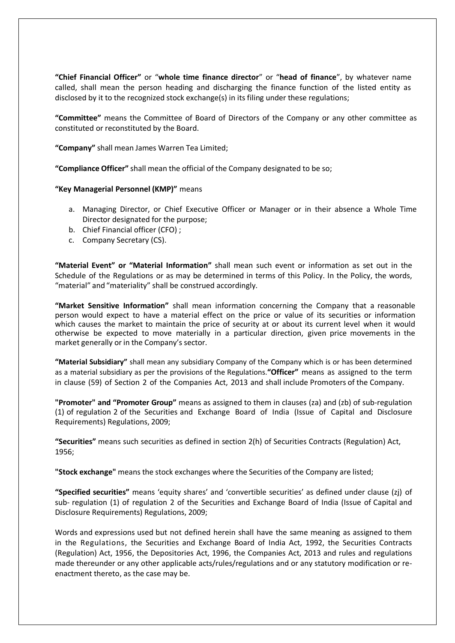**"Chief Financial Officer"** or "**whole time finance director**" or "**head of finance**", by whatever name called, shall mean the person heading and discharging the finance function of the listed entity as disclosed by it to the recognized stock exchange(s) in its filing under these regulations;

**"Committee"** means the Committee of Board of Directors of the Company or any other committee as constituted or reconstituted by the Board.

**"Company"** shall mean James Warren Tea Limited;

**"Compliance Officer"** shall mean the official of the Company designated to be so;

#### **"Key Managerial Personnel (KMP)"** means

- a. Managing Director, or Chief Executive Officer or Manager or in their absence a Whole Time Director designated for the purpose;
- b. Chief Financial officer (CFO) ;
- c. Company Secretary (CS).

**"Material Event" or "Material Information"** shall mean such event or information as set out in the Schedule of the Regulations or as may be determined in terms of this Policy. In the Policy, the words, "material" and "materiality" shall be construed accordingly.

**"Market Sensitive Information"** shall mean information concerning the Company that a reasonable person would expect to have a material effect on the price or value of its securities or information which causes the market to maintain the price of security at or about its current level when it would otherwise be expected to move materially in a particular direction, given price movements in the market generally or in the Company's sector.

**"Material Subsidiary"** shall mean any subsidiary Company of the Company which is or has been determined as a material subsidiary as per the provisions of the Regulations.**"Officer"** means as assigned to the term in clause (59) of Section 2 of the Companies Act, 2013 and shall include Promoters of the Company.

**"Promoter" and "Promoter Group"** means as assigned to them in clauses (za) and (zb) of sub‐regulation (1) of regulation 2 of the Securities and Exchange Board of India (Issue of Capital and Disclosure Requirements) Regulations, 2009;

**"Securities"** means such securities as defined in section 2(h) of Securities Contracts (Regulation) Act, 1956;

**"Stock exchange"** means the stock exchanges where the Securities of the Company are listed;

**"Specified securities"** means 'equity shares' and 'convertible securities' as defined under clause (zj) of sub- regulation (1) of regulation 2 of the Securities and Exchange Board of India (Issue of Capital and Disclosure Requirements) Regulations, 2009;

Words and expressions used but not defined herein shall have the same meaning as assigned to them in the Regulations, the Securities and Exchange Board of India Act, 1992, the Securities Contracts (Regulation) Act, 1956, the Depositories Act, 1996, the Companies Act, 2013 and rules and regulations made thereunder or any other applicable acts/rules/regulations and or any statutory modification or reenactment thereto, as the case may be.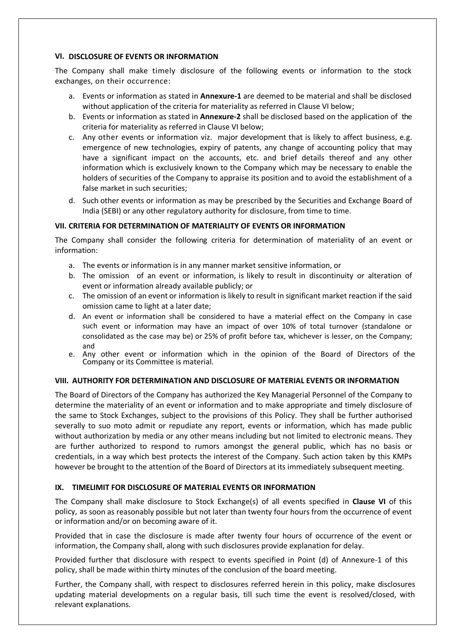# **VI. DISCLOSURE OF EVENTS OR INFORMATION**

The Company shall make timely disclosure of the following events or information to the stock exchanges, on their occurrence:

- a. Events or information as stated in **Annexure‐1** are deemed to be material and shall be disclosed without application of the criteria for materiality as referred in Clause VI below;
- b. Events or information as stated in **Annexure‐2** shall be disclosed based on the application of the criteria for materiality as referred in Clause VI below;
- c. Any other events or information viz. major development that is likely to affect business, e.g. emergence of new technologies, expiry of patents, any change of accounting policy that may have a significant impact on the accounts, etc. and brief details thereof and any other information which is exclusively known to the Company which may be necessary to enable the holders of securities of the Company to appraise its position and to avoid the establishment of a false market in such securities;
- d. Such other events or information as may be prescribed by the Securities and Exchange Board of India (SEBI) or any other regulatory authority for disclosure, from time to time.

# **VII. CRITERIA FOR DETERMINATION OF MATERIALITY OF EVENTS OR INFORMATION**

The Company shall consider the following criteria for determination of materiality of an event or information:

- a. The events or information is in any manner market sensitive information, or
- b. The omission of an event or information, is likely to result in discontinuity or alteration of event or information already available publicly; or
- c. The omission of an event or information is likely to result in significant market reaction if the said omission came to light at a later date;
- d. An event or information shall be considered to have a material effect on the Company in case such event or information may have an impact of over 10% of total turnover (standalone or consolidated as the case may be) or 25% of profit before tax, whichever is lesser, on the Company; and
- e. Any other event or information which in the opinion of the Board of Directors of the Company or its Committee is material.

# **VIII. AUTHORITY FOR DETERMINATION AND DISCLOSURE OF MATERIAL EVENTS OR INFORMATION**

The Board of Directors of the Company has authorized the Key Managerial Personnel of the Company to determine the materiality of an event or information and to make appropriate and timely disclosure of the same to Stock Exchanges, subject to the provisions of this Policy. They shall be further authorised severally to suo moto admit or repudiate any report, events or information, which has made public without authorization by media or any other means including but not limited to electronic means. They are further authorized to respond to rumors amongst the general public, which has no basis or credentials, in a way which best protects the interest of the Company. Such action taken by this KMPs however be brought to the attention of the Board of Directors at its immediately subsequent meeting.

# **IX. TIMELIMIT FOR DISCLOSURE OF MATERIAL EVENTS OR INFORMATION**

The Company shall make disclosure to Stock Exchange(s) of all events specified in **Clause VI** of this policy, as soon as reasonably possible but not later than twenty four hours from the occurrence of event or information and/or on becoming aware of it.

Provided that in case the disclosure is made after twenty four hours of occurrence of the event or information, the Company shall, along with such disclosures provide explanation for delay.

Provided further that disclosure with respect to events specified in Point (d) of Annexure‐1 of this policy, shall be made within thirty minutes of the conclusion of the board meeting.

Further, the Company shall, with respect to disclosures referred herein in this policy, make disclosures updating material developments on a regular basis, till such time the event is resolved/closed, with relevant explanations.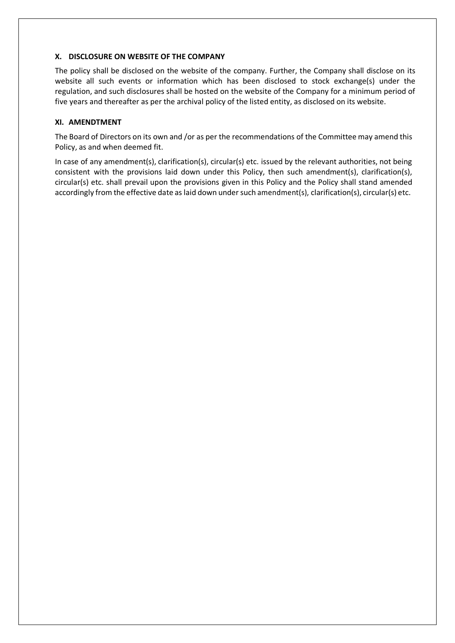# **X. DISCLOSURE ON WEBSITE OF THE COMPANY**

The policy shall be disclosed on the website of the company. Further, the Company shall disclose on its website all such events or information which has been disclosed to stock exchange(s) under the regulation, and such disclosures shall be hosted on the website of the Company for a minimum period of five years and thereafter as per the archival policy of the listed entity, as disclosed on its website.

# **XI. AMENDTMENT**

The Board of Directors on its own and /or as per the recommendations of the Committee may amend this Policy, as and when deemed fit.

In case of any amendment(s), clarification(s), circular(s) etc. issued by the relevant authorities, not being consistent with the provisions laid down under this Policy, then such amendment(s), clarification(s), circular(s) etc. shall prevail upon the provisions given in this Policy and the Policy shall stand amended accordingly from the effective date as laid down under such amendment(s), clarification(s), circular(s) etc.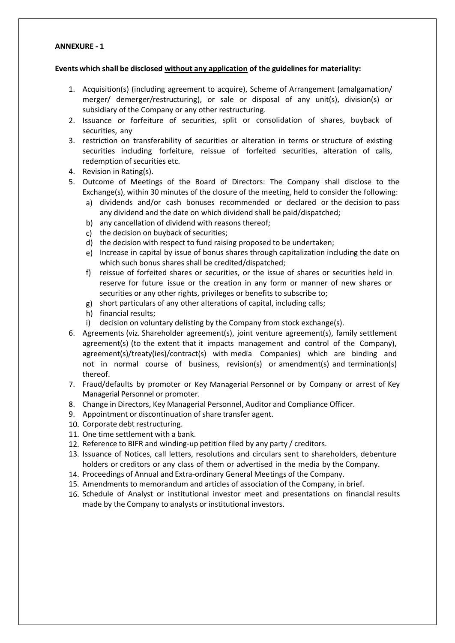# **ANNEXURE - 1**

#### **Events which shall be disclosed without any application of the guidelines for materiality:**

- 1. Acquisition(s) (including agreement to acquire), Scheme of Arrangement (amalgamation/ merger/ demerger/restructuring), or sale or disposal of any unit(s), division(s) or subsidiary of the Company or any other restructuring.
- 2. Issuance or forfeiture of securities, split or consolidation of shares, buyback of securities, any
- 3. restriction on transferability of securities or alteration in terms or structure of existing securities including forfeiture, reissue of forfeited securities, alteration of calls, redemption of securities etc.
- 4. Revision in Rating(s).
- 5. Outcome of Meetings of the Board of Directors: The Company shall disclose to the Exchange(s), within 30 minutes of the closure of the meeting, held to consider the following:
	- a) dividends and/or cash bonuses recommended or declared or the decision to pass any dividend and the date on which dividend shall be paid/dispatched;
	- b) any cancellation of dividend with reasons thereof;
	- c) the decision on buyback of securities;
	- d) the decision with respect to fund raising proposed to be undertaken;
	- e) Increase in capital by issue of bonus shares through capitalization including the date on which such bonus shares shall be credited/dispatched;
	- f) reissue of forfeited shares or securities, or the issue of shares or securities held in reserve for future issue or the creation in any form or manner of new shares or securities or any other rights, privileges or benefits to subscribe to;
	- g) short particulars of any other alterations of capital, including calls;
	- h) financial results;
	- i) decision on voluntary delisting by the Company from stock exchange(s).
- 6. Agreements (viz. Shareholder agreement(s), joint venture agreement(s), family settlement agreement(s) (to the extent that it impacts management and control of the Company), agreement(s)/treaty(ies)/contract(s) with media Companies) which are binding and not in normal course of business, revision(s) or amendment(s) and termination(s) thereof.
- 7. Fraud/defaults by promoter or Key Managerial Personnel or by Company or arrest of Key Managerial Personnel or promoter.
- 8. Change in Directors, Key Managerial Personnel, Auditor and Compliance Officer.
- 9. Appointment or discontinuation of share transfer agent.
- 10. Corporate debt restructuring.
- 11. One time settlement with a bank.
- 12. Reference to BIFR and winding-up petition filed by any party / creditors.
- 13. Issuance of Notices, call letters, resolutions and circulars sent to shareholders, debenture holders or creditors or any class of them or advertised in the media by the Company.
- 14. Proceedings of Annual and Extra-ordinary General Meetings of the Company.
- 15. Amendments to memorandum and articles of association of the Company, in brief.
- 16. Schedule of Analyst or institutional investor meet and presentations on financial results made by the Company to analysts or institutional investors.